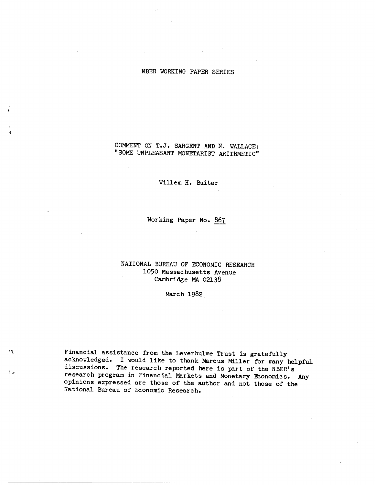## NBER WORKING PAPER SERIES

COMMENT ON T.J. SARGENT AND N. WALLACE: SOME UNPLEASANT MONETARIST ARITHMETIC"

Willem H. Buiter

Working Paper No. 867

# NATIONAL BUREAU OF ECONOMIC RESEARCH 1050 Massachusetts Avenue Cambridge MA 02138

March 1982

Financial assistance from the Leverhulme Trust is gratefully acknowledged. I would like to thank Marcus Miller for many helpful discussions. The research reported here is part of the NBER's research program in Financial Markets and Monetary Economics. Any opinions expressed are those of the author and not those of the National Bureau of Economic Research.

ń

 $\epsilon >$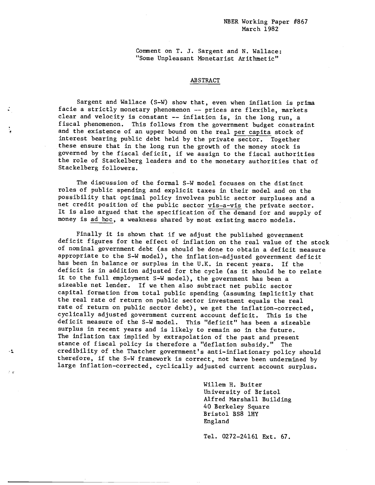Comment on T. J. Sargent and N. Wallace: "Some Unpleasant Monetarist Arithmetic"

#### ABSTRACT

Sargent and Wallace (S—W) show that, even when inflation is prima facie a strictly monetary phenomenon -- prices are flexible, markets clear and velocity is constant —— inflation is, in the long run, a fiscal phenomenon. This follows from the government budget constraint and the existence of an upper bound on the real per capita stock of interest bearing public debt held by the private sector. Together these ensure that in the long run the growth of the money stock is governed by the fiscal deficit, if we assign to the fiscal authorities the role of Stackelberg leaders and to the monetary authorities that of Stackelberg followers.

The discussion of the formal S—W model focuses on the distinct roles of public spending and explicit taxes in their model and on the possibility that optimal policy involves public sector surpluses and a net credit position of the public sector vis—a—vis the private sector. It is also argued that the specification of the demand for and supply of money is ad hoc, a weakness shared by most existing macro models.

Finally it is shown that if we adjust the published government deficit figures for the effect of inflation on the real value of the stock of nominal government debt (as should be done to obtain a deficit measure appropriate to the S—W model), the inflation—adjusted government deficit has been in balance or surplus in the U.K. in recent years. If the deficit is in addition adjusted for the cycle (as it should be to relate it to the full employment S-W model), the government has been a sizeable net lender. If we then also subtract net public sector capital formation from total public spending (assuming implicitly that<br>the real rate of return on public sector investment equals the real rate of return on public sector debt), we get the inflation—corrected, cyclically adjusted government current account deficit. This is the deficit measure of the S—W model. This "deficit" has been a sizeable surplus in recent years and is likely to remain so in the future. The inflation tax implied by extrapolation of the past and present stance of fiscal policy is therefore a "deflation subsidy." The credibility of the Thatcher government's anti—inflationary policy should therefore, if the S—W framework is correct, not have been undermined by large inflation-corrected, cyclically adjusted current account surplus.

٠ź,

Willem H. Buiter Alfred Marshall Building <sup>40</sup> Berkeley Square Bristol BS8 1HY England

Tel. 0272—24161 Ext. 67.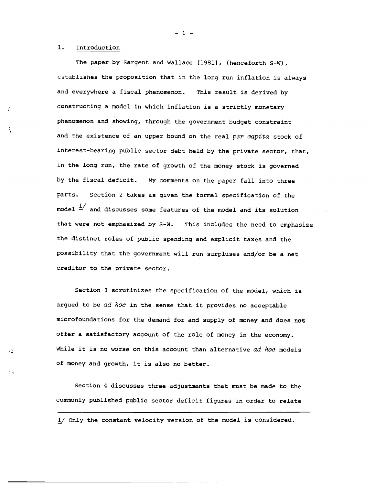#### 1. Introduction

 $\cdot \mathbf{r}$ 

The paper by Sargent and Wallace [1981], (henceforth S-W), establishes the proposition that in the long run inflation is always and everywhere a fiscal phenomenon. This result is derived by constructing a model in which inflation is a strictly monetary phenomenon and showing, through the government budget constraint and the existence of an upper bound on the real per capita stock of interest—bearing public sector debt held by the private sector, that, in the long run, the rate of growth of the money stock is governed by the fiscal deficit. My comments on the paper fall into three parts. Section 2 takes as given the formal specification of the model  $\frac{1}{x}$  and discusses some features of the model and its solution that were not emphasized by S-w. This includes the need to emphasize the distinct roles of public spending and explicit taxes and the possibility that the government will run surpluses and/or be a net creditor to the private sector.

Section 3 scrutinizes the specification of the model, which is argued to be ad hoc in the sense that it provides no acceptable microfoundations for the demand for and supply of money and does not offer a satisfactory account of the role of money in the economy. While it is no worse on this account than alternative  $ad$  hoc models of money and growth, it is also no better.

Section 4 discusses three adjustments that must be made to the commonly published public sector deficit figures in order to relate

1/ only the constant velocity version of the model is considered.

—1—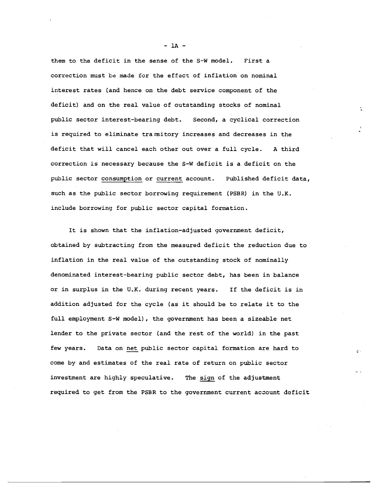them to the deficit in the sense of the S-W model. First a correction must be made for the effect of inflation on nominal interest rates (and hence on the debt service component of the deficit) and on the real value of outstanding stocks of nominal public sector interest-bearing debt. Second, a cyclical correction is required to eliminate trarsitory increases and decreases in the deficit that will cancel each other out over a full cycle. A third correction is necessary because the S—W deficit is a deficit on the public sector consumption or current account. Published deficit data, such as the public sector borrowing requirement (PSBR) in the U.K. include borrowing for public sector capital formation.

It is shown that the inflation-adjusted government deficit, obtained by subtracting from the measured deficit the reduction due to inflation in the real value of the outstanding stock of nominally denominated interest-bearing public sector debt, has been in balance or in surplus in the U.K. during recent years. If the deficit is in addition adjusted for the cycle (as it should be to relate it to the full employment S-W model), the government has been a sizeable net lender to the private sector (and the rest of the world) in the past few years. Data on net public sector capital formation are hard to come by and estimates of the real rate of return on public sector investment are highly speculative. The sign of the adjustment required to get from the PSBR to the government current account deficit

- 1A -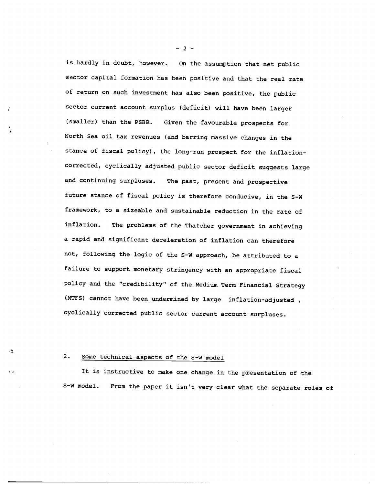is hardly in doubt, however. On the assumption that net public sector capital formation has been positive and that the real rate of return on such investment has also been positive, the public sector current account surplus (deficit) will have been larger (smaller) than the PSBR. Given the favourable prospects for North Sea oil tax revenues (and barring massive changes in the stance of fiscal policy), the long-run prospect for the inflationcorrected, cyclically adjusted public sector deficit suggests large and continuing surpluses. The past, present and prospective future stance of fiscal policy is therefore conducive, in the S—W framework, to a sizeable and sustainable reduction in the rate of inflation. The problems of the Thatcher government in achieving a rapid and significant deceleration of inflation can therefore not, following the logic of the S-W approach, be attributed to a failure to support monetary stringency with an appropriate fiscal policy and the "credibility" of the Medium Term Financial Strategy (MTFS) cannot have been undermined by large inflation-adjusted cyclically corrected public sector current account surpluses.

# 2. Some technical aspects of the S—W model

It is instructive to make one change in the presentation of the S-W model. From the paper it isn't very clear what the separate roles of

 $-2 -$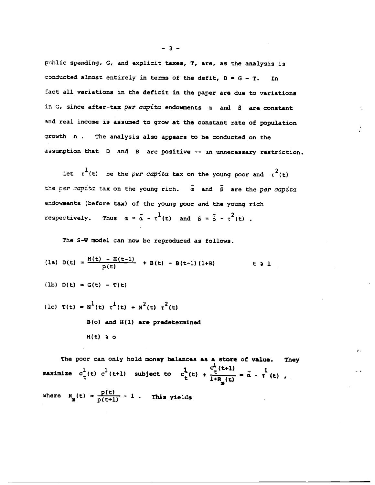public spending, G, and explicit taxes, T, are, as the analysis is conducted almost entirely in terms of the defit,  $D = G - T$ . In fact all variations in the deficit in the paper are due to variations in G, since after-tax per capita endowments  $\alpha$  and  $\beta$  are constant and real income is assumed to grow at the constant rate of population growth n . The analysis also appears to be conducted on the assumption that D and B are positive -- an unnecessary restriction.

Let  $\tau^1(t)$  be the *per capita* tax on the young poor and  $\tau^2(t)$ the per capita tax on the young rich.  $\vec{a}$  and  $\vec{\beta}$  are the per capita endowments (before tax) of the young poor and the young rich respectively. Thus  $\alpha = \bar{\alpha} - \tau^1(t)$  and  $\beta = \bar{\beta} - \tau^2(t)$ .

The S-W model can now be reproduced as follows.

$$
(1a) D(t) = \frac{H(t) - H(t-1)}{p(t)} + B(t) - B(t-1) (1+R) \qquad t \ge 1
$$

$$
(1b) D(t) = G(t) - T(t)
$$

(1c) 
$$
T(t) = N^1(t) \tau^1(t) + N^2(t) \tau^2(t)
$$
  
B(o) and H(1) are predetermined  
H(t)  $\ge 0$ 

The poor can only hold money balances as a store of value. They maximize  $c_{t}^{1}(t)$   $c^{1}(t+1)$  subject to  $c_{t}^{1}(t)$  +  $\frac{c_{t}^{1}(t+1)}{1+R_{1}(t)}$  =  $\bar{a}$  -  $\bar{t}$  (t), where  $R_m(t) = \frac{p(t)}{n(t+1)} - 1$ . This yields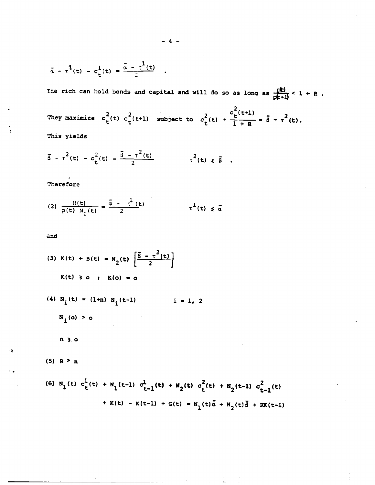$$
\vec{a} = \tau^2(t) - c_{\tau}^1(t) = \frac{\vec{a} - \tau^1(t)}{2} .
$$

The rich can hold bonds and capital and will do so as long as  $\frac{pt!}{pt+1} < 1 + R$ .

They maximize  $c_t^2(t) c_t^2(t+1)$  subject to  $c_t^2(t) + \frac{c_t(t+1)}{1+R} = \bar{\beta} - \tau^2(t)$ .

This yields

$$
\vec{\beta} - \tau^{2}(t) - c_{t}^{2}(t) = \frac{\vec{\beta} - \tau^{2}(t)}{2} \qquad \tau^{2}(t) \leq \vec{\beta} .
$$

Therefore

(2) 
$$
\frac{H(t)}{p(t) N_1(t)} = \frac{\bar{\alpha} - t^1(t)}{2} \qquad \tau^1(t) \leq \bar{\alpha}
$$

and

(3) 
$$
K(t) + B(t) = N_2(t) \left[ \frac{\bar{B} - \tau^2(t)}{2} \right]
$$
  
 $K(t) \ge 0$ ;  $K(0) = 0$ 

(4) N<sub>i</sub>(t) = (1+n) N<sub>i</sub>(t-1) i = 1, 2

 $N_{\text{i}}(0) > 0$ 

 $n \geqslant o$ 

(5)  $R > n$ 

 $\cdot$  5

(6) N<sub>1</sub>(t) 
$$
c_t^L(t) + N_1(t-1) c_{t-1}^L(t) + N_2(t) c_t^2(t) + N_2(t-1) c_{t-1}^2(t)
$$
  
+ K(t) - K(t-1) + G(t) = N<sub>1</sub>(t) $\bar{a}$  + N<sub>2</sub>(t) $\bar{B}$  + RK(t-1)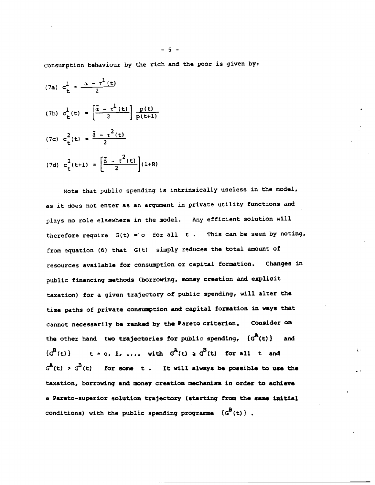Consumption behaviour by the rich and the poor is given by:

(7a) 
$$
c_{\frac{t}{L}}^{1} = \frac{3 - \tau^{1}(t)}{2}
$$
  
\n(7b)  $c_{\frac{t}{L}}^{1}(t) = \left[\frac{\frac{1}{3} - \tau^{1}(t)}{2}\right] \frac{p(t)}{p(t+1)}$   
\n(7c)  $c_{\frac{t}{L}}^{2}(t) = \frac{\frac{1}{3} - \tau^{2}(t)}{2}$   
\n(7d)  $c_{\frac{t}{L}}^{2}(t+1) = \left[\frac{\frac{1}{3} - \tau^{2}(t)}{2}\right](1+R)$ 

Note that public spending is intrinsically useless in the model, as it does not enter as an argument in private utility functions and plays no role elsewhere in the model. Any efficient solution will therefore require  $G(t) = o$  for all t. This can be seen by noting, from equation (6) that G(t) simply reduces the total amount of resources available for consumption or capital formation. Changes in public financing methods (borrowing, money creation and explicit taxation) for a given trajectory of public spending, will alter the time paths of private consumption and capital formation in ways that cannot necessarily be ranked by the Pareto criterion. Consider on the other hand two trajectories for public spending,  $\{G^A(t)\}$  and  ${G^B(t)}$  t = o, 1, .... with  $G^A(t) \geq G^B(t)$  for all t and  $G^{A}(t) > G^{B}(t)$  for some t. It will always be possible to use the taxation, borrowing and money creation mechanism in order to achieve <sup>a</sup> Pareto-superior solution trajectory (starting from the same initial conditions) with the public spending programme  ${G^B(t)}$ .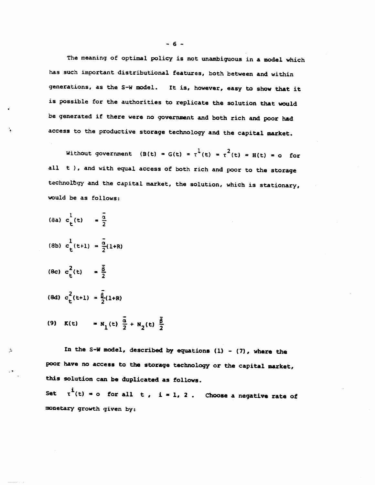The meaning of optimal policy is not unambiguous in a model which has such important distributional features, both between and within generations, as the S-W model. It is, however, easy to show that it is possible for the authorities to replicate the solution that would be generated if there were no government and both rich and poor had access to the productive storage technology and the capital market.

Without government (B(t) = G(t) =  $\tau^1(t) = \tau^2(t) = H(t) = o$  for all t ), and with equal access of both rich and poor to the storage technology and the capital market, the solution, which is stationary, would be as follows:

(8a)  $c_{+}^{1}(t) = \frac{\bar{a}}{2}$  $\frac{1}{\sqrt{1+\frac{1}{2}}}$ (8b)  $c_t^{(t+1)} = \frac{3}{2}(1+R)$ (8c)  $c_{+}^{2}(t) = \frac{\bar{\beta}}{2}$ (8d)  $c_{+}^{2}(t+1) = \frac{\overline{\beta}}{2}(1+R)$ (9) K(t) = N<sub>1</sub>(t)  $\frac{\bar{a}}{2}$  + N<sub>2</sub>(t)  $\frac{\bar{\beta}}{2}$ 

 $\tilde{\mathcal{Z}}$ 

In the S-W model, described by equations (1) - (7), where the poor have no access to the storage technology or the capital market, this solution can be duplicated as follows.

Set  $\tau^i(t) = o$  for all t, i = 1, 2. Choose a negative rate of monetary growth given by: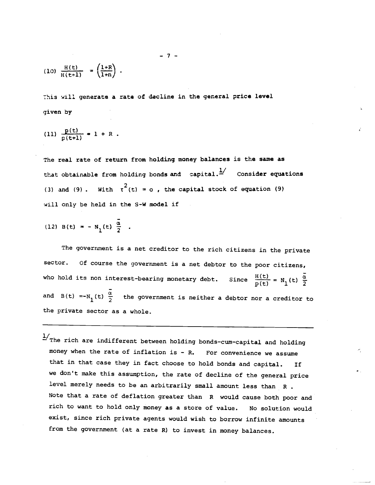(10) 
$$
\frac{H(t)}{H(t+1)} = \left(\frac{1+R}{1+n}\right).
$$

This will generate a rate of decline in the general price level given by

(11) 
$$
\frac{p(t)}{p(t+1)} = 1 + R.
$$

The real rate of return from holding money balances is the same as that obtainable from holding bonds and capital. $\frac{1}{1}$  Consider equations (3) and (9). With  $\tau^2(t) = o$ , the capital stock of equation (9) will only be held in the S-W model if

(12) B(t) = - N<sub>1</sub>(t) 
$$
\frac{a}{2}
$$
.

The government is a net creditor to the rich citizens in the private sector. Of course the government is a net debtor to the poor citizens, who hold its non interest-bearing monetary debt. Since  $\frac{H(t)}{D(t)} = N_1(t) \frac{\alpha}{2}$ and  $B(t) = -N_1(t) \frac{\alpha}{2}$  the government is neither a debtor nor a creditor to the private sector as a whole.

 $1/$ The rich are indifferent between holding bonds-cum-capital and holding money when the rate of inflation is — R. For convenience we assume that in that case they in fact choose to hold bonds and capital. If we don't make this assumption, the rate of decline of the general price level merely needs to be an arbitrarily small amount less than R. Note that a rate of deflation greater than R would cause both poor and rich to want to hold only money as a store of value. No solution would exist, since rich private agents would wish to borrow infinite amounts from the government (at a rate R) to invest in money balances.

—7—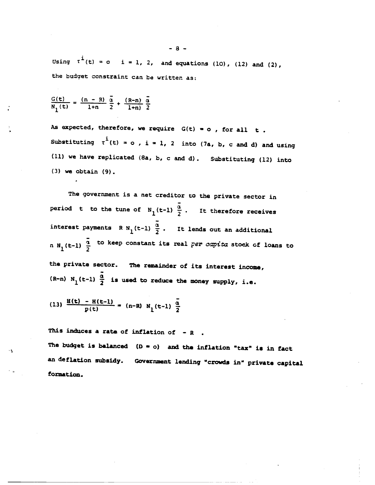Using  $\tau^{i}(t) = 0$  i = 1, 2, and equations (10), (12) and (2), the budget constraint can be written as:

$$
\frac{G(t)}{N_1(t)} = \frac{(n - R)}{1+n} \frac{\bar{a}}{2} + \frac{(R-n)}{1+n} \frac{\bar{a}}{2}
$$

As expected, therefore, we require  $G(t) = 0$ , for all t. Substituting  $\tau^i(t) = o$ , i = 1, 2 into (7a, b, c and d) and using (11) we have replicated  $(8a, b, c \text{ and } d)$ . Substituting  $(12)$  into (3) we obtain (9).

The government is a net creditor to the private sector in period t to the tune of  $N_1(t-1)$   $\frac{a}{2}$ . It therefore receives interest payments  $R N_1(t-1) \frac{\alpha}{2}$ . It lends out an additional  $n N_1(t-1)$   $\frac{1}{2}$  to keep constant its real per capita stock of loans to the private sector. The remainder of its interest income, (R-n) N<sub>1</sub>(t-1)  $\frac{\bar{a}}{2}$  is used to reduce the money supply, i.e.

(13) 
$$
\frac{H(t) - H(t-1)}{p(t)} = (n-R) N_1(t-1) \frac{a}{2}
$$

This induces a rate of inflation of  $-R$ .

The budget is balanced ( $D = o$ ) and the inflation "tax" is in fact an deflation subsidy. Government lending "crowds in" private capital formation.

$$
-8 -
$$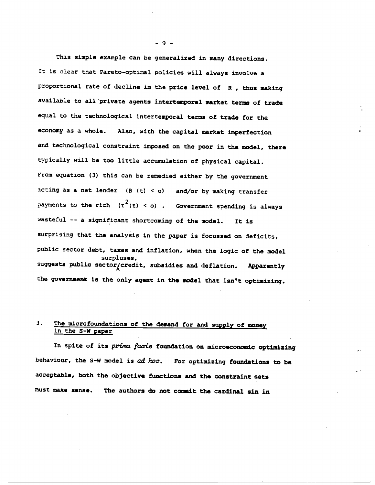This simple example can be generalized in many directions. It is clear that Pareto-optimal policies will always involve a proportional rate of decline in the price level of R , thus making available to all private agents intertemporal market terms of trade equal to the technological intertemporal terms of trade for the economy as a whole. Also, with the capital market imperfection and technological constraint imposed on the poor in the model, there typically will be too little accumulation of physical capital. From equation (3) this can be remedied either by the government acting as a net lender (B (t) < o) and/or by making transfer payments to the rich  $(\tau^2(t) \leq o)$ . Government spending is always wasteful -- <sup>a</sup> significant shortcoming of the model. It is surprising that the analysis in the paper is focussed on deficits, public sector debt, taxes and inflation, when the logic of the model<br>surpluses,<br>suggests public sector/credit, subsidies and deflation. Apparently the government is the only agent in the model that isn't optimizing.

# 3. The microfoundations of the demand for and supply of money in the S-W paper

In spite of its prima facie foundation on microeconomic optimizing behaviour, the S-W model is ad hoc. For optimizing foundations to be acceptable, both the objective functions and the constraint sets must make sense. The authors do not commit the cardinal sin in

-9—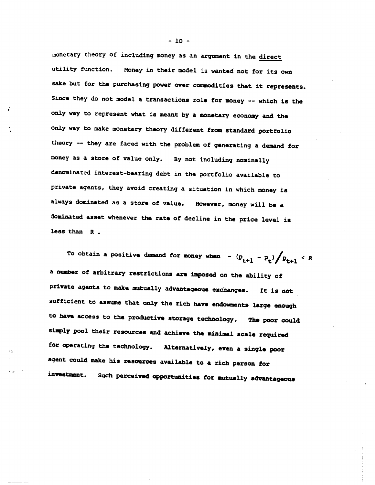monetary theory of including money as an argument in the direct utility function. Money in their model is wanted not for its own sake but for the purchasing power over commodities that it represents. Since they do not model a transactions role for money -- which is the only way to represent what is meant by a monetary economy and the only way to make monetary theory different from standard portfolio theory — they are faced with the problem of generating a demand for money as a store of value only. By not including nominally denominated interest-bearing debt in the portfolio available to private agents, they avoid creating a situation in which money is always dominated as a store of value. However, money will be a dominated asset whenever the rate of decline in the price level is less than R.

To obtain a positive demand for money when -  $(p_{t+1} - p_t)/p_{t+1}$  < R a number of arbitrary restrictions are imposed on the ability of private agents to make mutually advantageous exchanges. It is not sufficient to assume that only the rich have endowments large enough to have access to the productive storage technology. The poor could simply pool their resources and achieve the minimal scale required for operating the technology. Alternatively, even a single poor agent couid make his resources available to a rich person for investment. Such perceived opportunities for mutually advantageous

- 10 -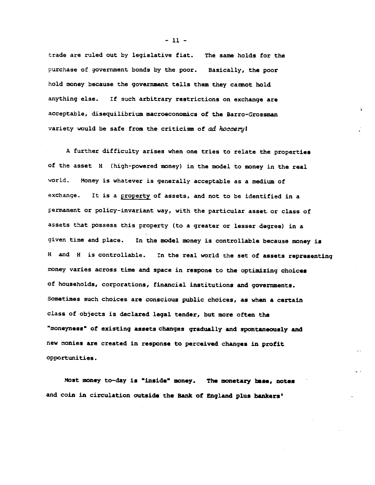trade are ruled out by legislative fiat. The same holds for the purchase of government bonds by the poor. Basically, the poor hold money because the government tells them they cannot hold anything else. If such arbitrary restrictions on exchange are acceptable, disequilibrium macroeconomics of the Barro-Grossman variety would be safe from the criticism of ad hoccery!

A further difficulty arises when one tries to relate the properties of the asset H (high-powered money) in the model to money in the real. world. Money is whatever is generally acceptable as a medium of exchange. It is a property of assets, and not to be identified in a permanent or policy-invariant way, with the particular asset or class of assets that possess this property (to a greater or lesser degree) in a given time and place. In the model money is controllable because money is H and H is controllable. In the real world the set of assets representing money varies across time and space in respone to the optimizing choices of households, corporations, financial institutions and governments. Sometimes such choices are conscious public choices, as when a certain class of objects is declared legal tender, but more often the "moneyness" of existing assets changes gradually and spontaneously and new monies are created in response to perceived changes in profit opportunities.

Most money to-day is "inside" money. The monetary base, notes and coin in circulation outside the Bank of England plus bankers'

 $-11 -$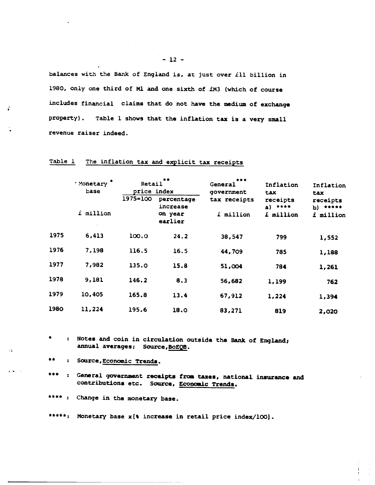balances with the Bank of England is, at just over £11 billion in 1980, only one third of Ml and one sixth of £M3 (which of course includes financial claims that do not have the medium of exchange property). Table 1. shows that the inflation tax is a very small revenue raiser indeed.

|      | *<br>* Monetary<br>base | $\star \star$<br>Retail<br>price index |                                              | ***<br>General<br>qovernment | Inflation<br>tax.                         | Inflation<br>tax                  |
|------|-------------------------|----------------------------------------|----------------------------------------------|------------------------------|-------------------------------------------|-----------------------------------|
|      | f million               | $1975 = 100$                           | percentage<br>increase<br>on year<br>earlier | tax receipts<br>f million    | receipts<br>$a)$ ****<br><b>£ million</b> | receipts<br>b) *****<br>f million |
| 1975 | 6,413                   | 100.0                                  | 24.2                                         | 38,547                       | 799                                       | 1,552                             |
| 1976 | 7,198                   | 116.5                                  | 16.5                                         | 44,709                       | 785                                       | 1,188                             |
| 1977 | 7,982                   | 135.0                                  | 15.8                                         | 51,004                       | 784                                       | 1,261                             |
| 1978 | 9,181                   | 146.2                                  | 8.3                                          | 56,682                       | 1,199                                     | 762                               |
| 1979 | 10,405                  | 165.8                                  | 13.4                                         | 67,912                       | 1,224                                     | 1,394                             |
| 1980 | 11,224                  | 195.6                                  | 18.0                                         | 83,271                       | 819                                       | 2,020                             |

# Table 1 The inflation tax and explicit tax receipts

\* : Notes and coin in circulation outside the Bank of England; annual averages; Source,B0EQB.

\*\* : Source, Economic Trends.

Á

 $\mathbf{A}$ 

\*\*\* : General government receipts from taxes, national insurance and contributions etc. Source, Economic Trends.

\*\*\*\* : Change in the monetary base.

\*\*\*\*\*: Monetary base x(% increase in retail price index/100].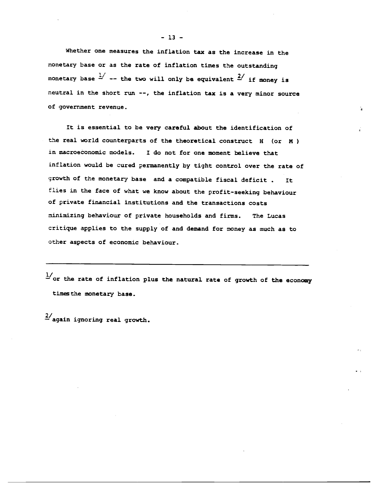Whether one measures the inflation tax as the increase in the monetary base or as the rate of inflation times the outstanding monetary base  $\frac{1}{n}$  -- the two will only be equivalent  $\frac{2}{n}$  if money is neutral in the short run -—, the inflation tax is a very minor source of government revenue.

It is essential to be very careful about the identification of the real world counterparts of the theoretical construct H (or M ) in macroeconomic models. I do not for one moment believe that inflation would be cured permanently by tight control over the rate of growth of the monetary base and a compatible fiscal deficit . It flies in the face of what we know about the profit-seeking behaviour of private financial institutions and the transactions costs minimizing behaviour of private households and firms. The Lucas critique applies to the supply of and demand for money as much as to other aspects of economic behaviour.

 $t$  or the rate of inflation plus the natural rate of growth of the economy times the monetary base.

 $\frac{2}{3}$  again ignoring real growth.

 $-13 -$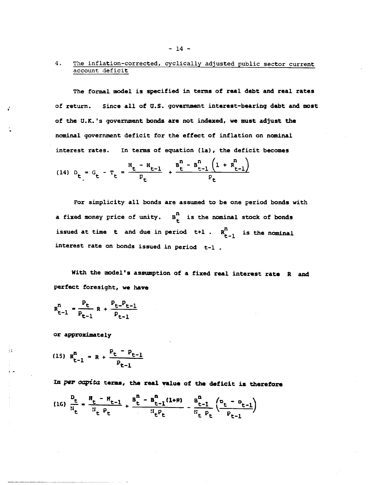### 4. The inflation—corrected, cyclically adjusted public sector current account deficit

The formal model is specified in terms of real debt and real rates of return. Since all of U.S. government interest-bearing debt and most of the U.K. 's government bonds are not indexed, we must adjust the nominal government deficit for the effect of inflation on nominal interest rates. In terms of equation (la), the deficit becomes

(14) 
$$
D_{\mathbf{t}} = G_{\mathbf{t}} - T_{\mathbf{t}} = \frac{H_{\mathbf{t}} - H_{\mathbf{t}-1}}{P_{\mathbf{t}}} + \frac{B_{\mathbf{t}}^{n} - B_{\mathbf{t}-1}^{n} \left(1 + R_{\mathbf{t}-1}^{n}\right)}{P_{\mathbf{t}}}
$$

For simplicity all bonds are assumed to be one period bonds with a fixed money price of unity.  $B_t^n$  is the nominal stock of bonds issued at time t and due in period t+1 .  $R_{t-1}^n$  is the nominal interest rate on bonds issued in period t-1.

With the model's assumption of a fixed real interest rate R and perfect foresight, we have

$$
R_{t-1}^{n} = \frac{P_{t}}{P_{t-1}} R + \frac{P_{t-1}}{P_{t-1}}
$$

or approximately

(15) 
$$
R_{t-1}^{n} = R + \frac{P_{t} - P_{t-1}}{P_{t-1}}
$$

In per capita terms, the real value of the deficit is therefore

(16) 
$$
\frac{D_{t}}{N_{t}} = \frac{H_{t} - H_{t-1}}{N_{t} P_{t}} + \frac{B_{t}^{n} - B_{t-1}^{n} (1 + R)}{N_{t} P_{t}} - \frac{B_{t-1}^{n}}{N_{t} P_{t}} \left(\frac{D_{t} - D_{t-1}}{P_{t-1}}\right)
$$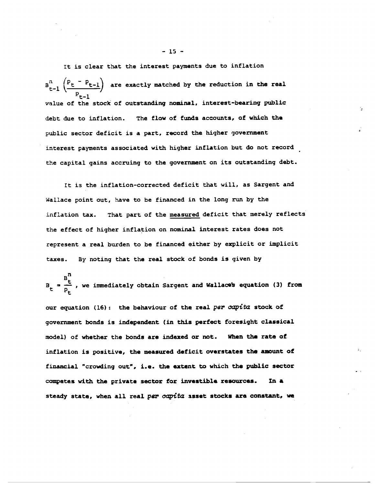It is clear that the interest payments due to inflation  $B_{t-1}^{n}$   $\left(\frac{P_t - P_{t-1}}{n}\right)$  are exactly matched by the reduction in the real <sup>1</sup>t-1<br>value of the stock of outstanding nominal, interest-bearing public debt due to inflation. The flow of funds accounts, of which the public sector deficit is a part, record the higher government interest payments associated with higher inflation but do not record the capital gains accruing to the government on its outstanding debt.

It is the inflation-corrected deficit that will, as Sargent and Wallace point out, have to be financed in the long run by the inflation tax. That part of the measured deficit that merely reflects the effect of higher inflation on nominal interest rates does not represent a real burden to be financed either by explicit or implicit taxes. By noting that the real stock of bonds is given by

 $B_t = \frac{B_t^H}{D}$ , we immediately obtain Sargent and Wallace's equation (3) from

our equation (16): the behaviour of the real per capita stock of government bonds is independent (in this perfect foresight classical model) of whether the bonds are indexed or not. When the rate of inflation is positive, the measured deficit overstates the amount of financial "crowding out", i.e. the extent to which the public sector competes with the private sector for invastibla resources. In a steady state, when all real par capita asset stocks are constant, we

 $-15 -$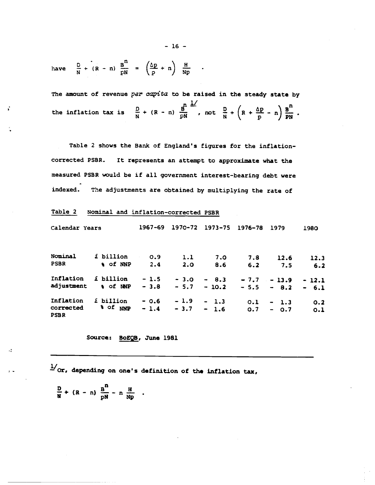have 
$$
\frac{D}{N} + (R - n) \frac{B^n}{N} = (\frac{\Delta p}{p} + n) \frac{H}{Np}
$$
.

÷.

χž

The amount of revenue per capita to be raised in the steady state by the inflation tax is  $\frac{D}{N} + (R - n) \frac{B}{PN}$ , not  $\frac{D}{N} + (R + \frac{\Delta P}{P} - n) \frac{B}{PN}$ .

Table 2 shows the Bank of England's figures for the inflation corrected PSER. It represents an attempt to approximate what the measured PSBR would be if all government interest-bearing debt were indexed. The adjustments are obtained by multiplying the rate of

# Table 2 Nominal and inflation-corrected PSBR

| Calendar Years                        |                                        | $1967 - 69$      |                  | 1970-72 1973-75 1976-78                                    |            | 1979                  | 1980              |
|---------------------------------------|----------------------------------------|------------------|------------------|------------------------------------------------------------|------------|-----------------------|-------------------|
| Nominal<br><b>PSBR</b>                | f billion<br>a of NNP                  | 0.9<br>2.4       | 1.1<br>2.0       | 7.0<br>8.6                                                 | 7.8<br>6.2 | 12.6<br>7.5           | 12.3<br>6.2       |
| Inflation<br>adjustment               | f billion<br><b>&amp; OF NNP</b>       | $-1.5$           | $-3.0$           | $-8.3 - 7.7 - 13.9$<br>$-3.8$ $-5.7$ $-10.2$ $-5.5$ $-8.2$ |            |                       | $-12.1$<br>$-6.1$ |
| Inflation<br>corrected<br><b>PSBR</b> | f billion<br>$\frac{1}{2}$ of $_{NNP}$ | $-0.6$<br>$-1.4$ | $-1.9$<br>$-3.7$ | $-1.3$<br>$-1.6$                                           | 0.1        | $-1.3$<br>$0.7 - 0.7$ | 0.2<br>0.1        |

Source: B0EQB, June 1981

 $\frac{1}{2}$ Or, depending on one's definition of the inflation tax,

 $\frac{B}{N}$  + (R - n)  $\frac{B}{N}$  - n  $\frac{H}{N}$  .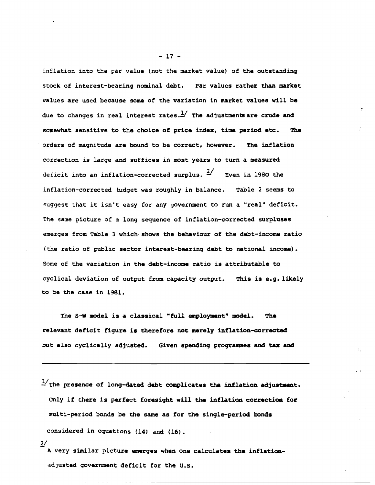inflation into the par value (not the market value) of the outstanding stock of interest-bearing nominal debt. Par values rather than market values are used because some of the variation in market values will be due to changes in real interest rates. $\frac{1}{2}$  The adjustments are crude and somewhat sensitive to the choice of price index, time period etc. The orders of magnitude are bound to be correct, however. The inflation correction is large and suffices in most years to turn a measured deficit into an inflation-corrected surplus.  $\frac{2}{ }$  Even in 1980 the inflation-corrected bidget was roughly in balance. Table 2 seems to suggest that it isn't easy for any government to run a "real" deficit. The same picture of a long sequence of inflation-corrected surpluses emerges from Table 3 which shows the behaviour of the debt-income ratio (the ratio of public sector interest-bearing debt to national income). Some of the variation in the debt—income ratio is attributable to cyclical deviation of output from capacity output. This is e.g. likely to be the case in 1981.

The S-W model is <sup>a</sup> classical "full employment" model. The relevant deficit figure is therefore not merely inflation-corrected but also cyclically adjusted. Given spending programmes and tax and

 $\frac{1}{2}$  The presence of long-dated debt complicates the inflation adjustment. Only if there is perfect foresight wil]. the inflation correction for multi-period bonds be the same as for the single-period bonds considered in equations (14) and (16).

A very similar picture emerges when one calculates the inflation adjusted government deficit for the U.S.

2/

 $-17 -$ 

 $\sim$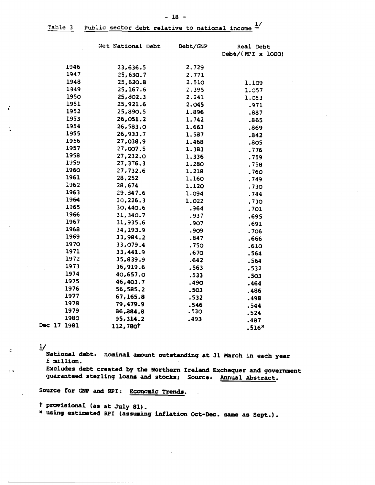| Table 3 Public sector debt relative to national income $\tilde{=}$ |  |
|--------------------------------------------------------------------|--|
|--------------------------------------------------------------------|--|

 $-18 -$ 

|             |      | Net National Debt | Debt/GNP | Real Debt<br>Debt/(RPI x 1000) |
|-------------|------|-------------------|----------|--------------------------------|
|             | 1946 | 23,636.5          | 2.729    |                                |
|             | 1947 | 25,630.7          | 2.771    |                                |
|             | 1948 | 25,620.8          | 2.510    | 1.109                          |
|             | 1949 | 25,167.6          | 2.395    | 1.057                          |
|             | 1950 | 25,802.3          | 2.241    | 1.053                          |
|             | 1951 | 25,921.6          | 2.045    | .971                           |
|             | 1952 | 25,890.5          | 1.896    | .887                           |
|             | 1953 | 26,051.2          | 1.742    | .865                           |
|             | 1954 | 26,583.0          | 1.663    | .869                           |
|             | 1955 | 26,933.7          | 1.587    | .842                           |
|             | 1956 | 27,038.9          | 1.468    | .805                           |
|             | 1957 | 27,007.5          | 1.383    | .776                           |
|             | 1958 | 27,232.0          | 1.336    | .759                           |
|             | 1959 | 27,376.3          | 1.280    | .758                           |
|             | 1960 | 27,732.6          | 1.218    | .760                           |
|             | 1961 | 28,252            | 1.160    | .749                           |
|             | 1962 | 28,674            | 1.120    | .730                           |
|             | 1963 | 29,847.6          | 1.094    | .744                           |
|             | 1964 | 30, 226.3         | 1.022    | .730                           |
|             | 1965 | 30,440.6          | .964     | .701                           |
|             | 1966 | 31,340.7          | .937     | .695                           |
|             | 1967 | 31,935.6          | .907     | .691                           |
|             | 1968 | 34,193.9          | .909     | .706                           |
|             | 1969 | 33,984.2          | .847     | .666                           |
|             | 1970 | 33,079.4          | .750     | .610                           |
|             | 1971 | 33,441.9          | .670     | .564                           |
|             | 1972 | 35,839.9          | .642     | .564                           |
|             | 1973 | 36,919.6          | .563     | .532                           |
|             | 1974 | 40,657.0          | .533     | .503                           |
|             | 1975 | 46,403.7          | .490     | .464                           |
|             | 1976 | 56,585.2          | .503     | .486                           |
|             | 1977 | 67,165.8          | .532     | .498                           |
|             | 1978 | 79,479.9          | .546     | .544                           |
|             | 1979 | 86,884.8          | .530     | .524                           |
|             | 1980 | 95,314.2          | .493     | .487                           |
| Dec 17 1981 |      | 112,780+          |          | .516 <sup>x</sup>              |

 $\frac{1}{2}$ 

 $\mathbf{z}$ 

Š.

National debt: nominal amount outstanding at 31 March in each year<br>£ million.

Excludes debt created by the Northern Ireland Exchequer and government guaranteed sterling loans and stocks; Source: Annual Abstract.

Source for GNP and RPI: Economic Trends.

t provisional (as at July 81).<br>**\*** using estimated RPI (assuming inflation Oct-Dec. same as Sept.).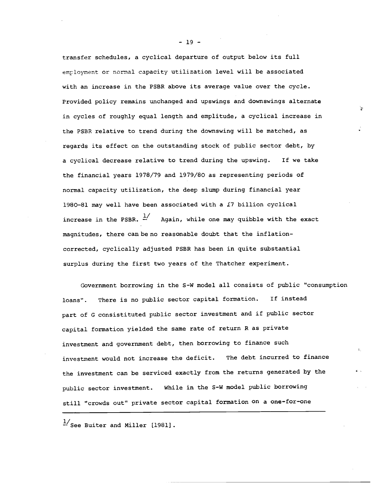transfer schedules, a cyclical departure of output below its full employment or normal capacity utilization level will be associated with an increase in the PSBR above its average value over the cycle. Provided policy remains unchanged and upswings and downswings alternate in cycles of roughly equal length and emplitude, a cyclical increase in the PSBR relative to trend during the downswing will be matched, as regards its effect on the outstanding stock of public sector debt, by a cyclical decrease relative to trend during the upswing. If we take the financial years 1978/79 and 1979/80 as representing periods of normal capacity utilization, the deep slump during financial year 1980-81 may well have been associated with a £7 billion cyclical increase in the PSBR.  $\frac{1}{2}$  Again, while one may quibble with the exact magnitudes, there can be no reasonable doubt that the inflationcorrected, cyclically adjusted PSBR has been in quite substantial surplus during the first two years of the Thatcher experiment.

Government borrowing in the S-W model all consists of public "consumption loans". There is no public sector capital formation. If instead part of G consistituted public sector investment and if public sector capital formation yielded the same rate of return R as private investment and government debt, then borrowing to finance such investment would not increase the deficit. The debt incurred to finance the investment can be serviced exactly from the returns generated by the public sector investment. While in the S-W model public borrowing still "crowds out" private sector capital formation on a one-for-one

 $\frac{1}{s}$  See Buiter and Miller [1981].

 $-19 -$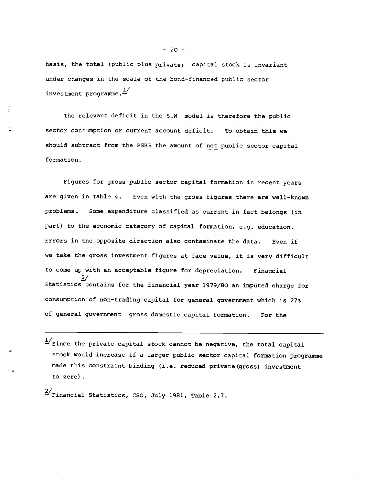basis, the total (public plus private) capital stock is invariant under changes in the scale of the bond-financed public sectcr investment programme. $\frac{1}{2}$ 

š

 $\leq$ 

The relevant deficit in the S.W model is therefore the public sector consumption or current account deficit. To obtain this we should subtract from the PSBR the amount of net public sector capital formation.

Figures for gross public sector capital formation in recent years are given in Table 4. Even with the gross figures there are well-known problems. Some expenditure classified as current in fact belongs (in part) to the economic category of capital formation, e.g. education. Errors in the opposite direction also contaminate the data. Even if we take the gross investment figures at face value, it is very difficult to come up with an acceptable figure for depreciation. Financial 2/ Statistics contains for the financial year 1979/80 an imputed charge for consumption of non—trading capital for general government which is 27% of general government gross domestic capital formation. For the

 $\frac{1}{s}$  since the private capital stock cannot be negative, the total capital stock would increase if a larger public sector capital formation programme made this constraint binding (i.e. reduced private (gross) investment to zero)

 $\frac{2}{r}$  Financial Statistics, CSO, July 1981, Table 2.7.

 $- 20 -$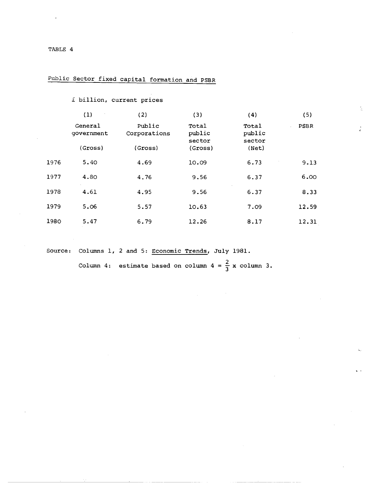| TABLE |  |
|-------|--|
|-------|--|

# Public Sector fixed capital formation and PSBR

£ billion, current prices

|      | (1)                   | (2)                    | (3)                       | (4)                       | (5)   |  |
|------|-----------------------|------------------------|---------------------------|---------------------------|-------|--|
|      | General<br>qovernment | Public<br>Corporations | Total<br>public<br>sector | Total<br>public<br>sector | PSBR  |  |
|      | (Gross)               | (Gross)                | (Gross)                   | (Net)                     |       |  |
| 1976 | 5.40                  | 4.69                   | 10.09                     | 6.73                      | 9.13  |  |
| 1977 | 4.80                  | 4,76                   | 9.56                      | 6.37                      | 6.00  |  |
| 1978 | 4.61                  | 4.95                   | 9.56                      | $\sim$<br>6.37            | 8.33  |  |
| 1979 | 5.06                  | 5.57                   | 10.63                     | 7.09                      | 12.59 |  |
| 1980 | 5.47                  | 6.79                   | 12.26                     | 8.17                      | 12.31 |  |

Source: Columns 1, 2 and 5: Economic Trends, July 1981.

Column 4: estimate based on column 4 =  $\frac{2}{3}$  x column 3.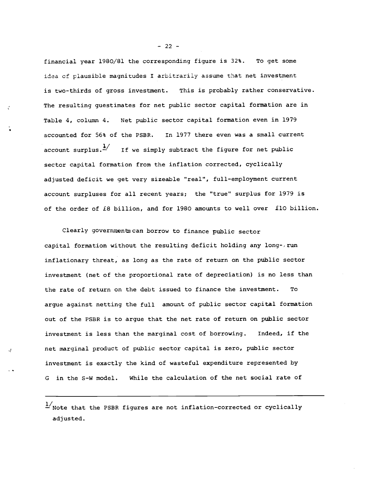financial year 1980/81 the corresponding figure is 32%. To get some idea cf plausible magnitudes I arbitrarily assume that net investment is two-thirds of gross investment. This is probably rather conservative. The resulting guestimates for net public sector capital formation are in Table 4, column 4. Net public sector capital formation even in 1979 accounted for 56% of the PSBR. In 1977 there even was a small current account surplus.  $\frac{1}{2}$  If we simply subtract the figure for net public sector capital formation from the inflation corrected, cyclically adjusted deficit we get very sizeable "real", full-employment current account surpluses for all recent years; the "true" surplus for 1979 is of the order of £8 billion, and for 1980 amounts to well over £10 billion.

Clearly governments can borrow to finance public sector capital formation without the resulting deficit holding any long-run inflationary threat, as long as the rate of return on the public sector investment (net of the proportional rate of depreciation) is no less than the rate of return on the debt issued to finance the investment. To argue against netting the full amount of public sector capital formation out of the PSBR is to argue that the net rate of return on public sector investment is less than the marginal cost of borrowing. Indeed, if the net marginal product of public sector capital is zero, public sector investment is exactly the kind of wasteful expenditure represented by G in the S-W model. While the calculation of the net social rate of

 $-22 -$ 

 $\frac{1}{x}$  Note that the PSBR figures are not inflation-corrected or cyclically adjusted.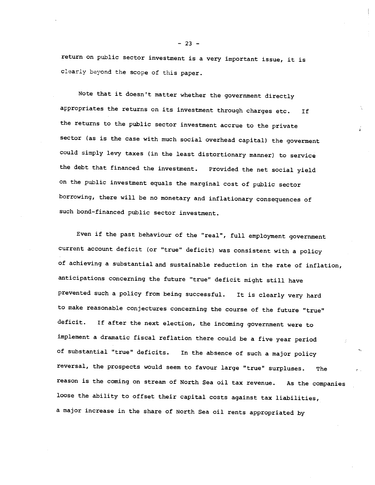return on public sector investment is a very important issue, it is clearly beyond the scope of this paper.

Note that it doesn't matter whether the government directly appropriates the returns on its investment through charges etc. If the returns to the public sector investment accrue to the private sector (as is the case with much social overhead capital) the goverment could simply levy taxes (in the least distortionary manner) to service the debt that financed the investment. Provided the net social yield on the public investment equals the marginal cost of public sector borrowing, there will be no monetary and inflationary consequences of such bond—financed public sector investment.

Even if the past behaviour of the "real", full employment government current account deficit (or "true" deficit) was consistent with a policy of achieving a substantial and sustainable reduction in the rate of inflation, anticipations concerning the future "true" deficit might still have prevented such a policy from being successful. It is clearly very hard to make reasonable conjectures concerning the course of the future "true" deficit. If after the next election, the incoming government were to implement a dramatic fiscal reflation there could be a five year period of substantial "true" deficits. In the absence of such a major policy reversal, the prospects would seem to favour large "true" surpluses. The reason is the coming on stream of North Sea oil tax revenue. As the companies loose the ability to offset their capital costs against tax liabilities, a major increase in the share of North Sea oil rents appropriated by

 $-23 -$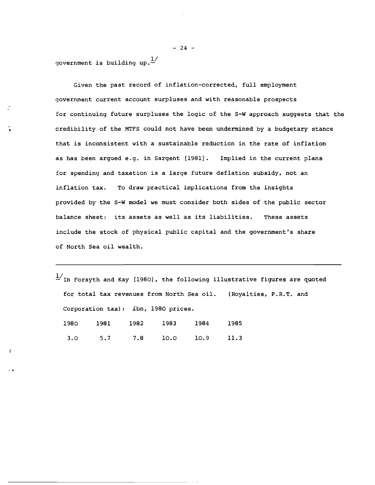government is building up. $\frac{1}{t}$ 

Given the past record of inflation-corrected, full employment government current account surpluses and with reasonable prospects for continuing future surpluses the logic of the S-W approach suggests that the credibility of the MTFS could not have been undermined by a budgetary stance that is inconsistent with a sustainable reduction in the rate of inflation as has been argued e.g. in Sargent [1981]. Implied in the current plans for spending and taxation is a large future deflation subsidy, not an inflation tax. To draw practical implications from the insights provided by the S-W model we must consider both sides of the public sector balance sheet: its assets as well as its liabilities. These assets include the stock of physical public capital and the government's share of North Sea oil wealth.

|      |                                            |      |      |      | $\frac{1}{2}$ In Forsyth and Kay (1980], the following illustrative figures are quoted |  |
|------|--------------------------------------------|------|------|------|----------------------------------------------------------------------------------------|--|
|      |                                            |      |      |      | for total tax revenues from North Sea oil. (Royalties, P.R.T. and                      |  |
|      | Corporation tax): <i>fbn,</i> 1980 prices. |      |      |      |                                                                                        |  |
| 1980 | 1981                                       | 1982 | 1983 | 1984 | 1985                                                                                   |  |
| 3.0  | 5.7 7.8                                    |      | 10.0 | 10.9 | -11.3                                                                                  |  |

 $-24 -$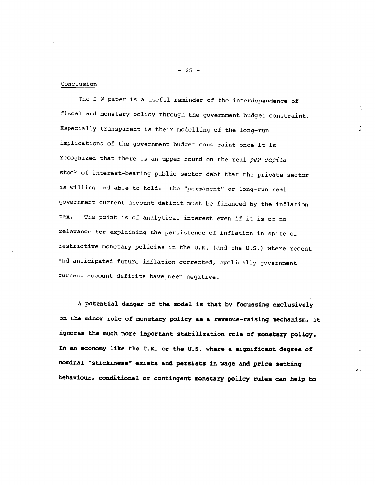#### Conclusion

The S-W paper is a useful reminder of the interdependence of fiscal and monetary policy through the government budget constraint. Especially transparent is their modelling of the long-run implications of the government budget constraint once it is recognized that there is an upper bound on the real per capita stock of interest-bearing public sector debt that the private sector is willing and able to hold: the "permanent" or long—run real government current account deficit must be financed by the inflation tax. The point is of analytical interest even if it is of no relevance for explaining the persistence of inflation in spite of restrictive monetary policies in the U.K. (and the U.S.) where recent and anticipated future inflation—corrected, cyclically government current account deficits have been negative.

A potential danger of the model is that by focussing exclusively on the minor role of monetary policy as a revenue—raising mechanism, it ignores the much more important stabilization role of monetary policy. In an economy Like the U.K. or the U.S. where a significant degree of nominal "stickiness" exists and persists in wage and price setting behaviour, conditional or contingent monetary policy rules can help to

 $\sim$ 

 $-25 -$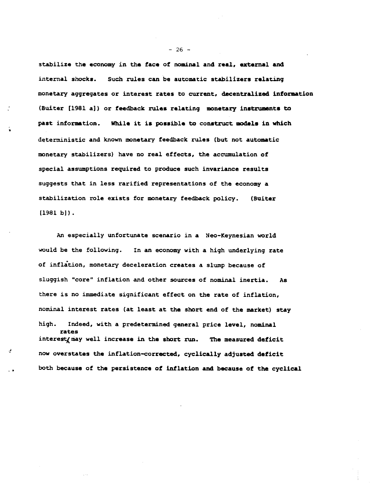stabilize the economy in the face of nominal and real, external and internal shocks. Such rules can be automatic stabilizers relating monetary aggregates or interest rates to current, decentralized information (Buiter (1981 a)) or feedback rules relating monetary instrumants to past information. While it is possible to construct models in which deterministic and known monetary feedback rules (but not automatic monetary stabilizers) have no real effects, the accumulation of special assumptions required to produce such invariance results suggests that in less rarified representations of the economy a stabilization role exists for monetary feedback policy. (Buiter [1981 b]).

An especially unfortunate scenario in a Neo-Keynesian world would be the following. In an economy with a high underlying rate of inflation, monetary deceleration creates a slump because of sluggish "core" inflation and other sources of nominal inertia. As there is no immediate significant effect on the rate of inflation, nominal interest rates (at least at the short end of the market) stay high. Indeed, with a predetermined general price level, nominal rates

interest/may well increase in the short run. The measured deficit now overstates the inflation-corrected, cyclically adjusted deficit both because of the persistence of inflation and because of the cyclical

 $-26 -$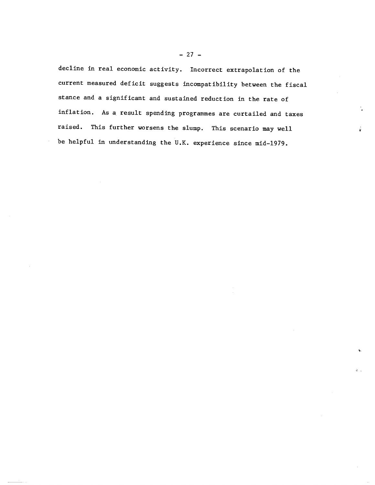decline in real economic activity. Incorrect extrapolation of the current measured deficit suggests incompatibility between the fiscal stance and a significant and sustained reduction in the rate of inflation. As a result spending programmes are curtailed and taxes raised. This further worsens the slump. This scenario may well be helpful in understanding the U.K. experience since mid—1979.